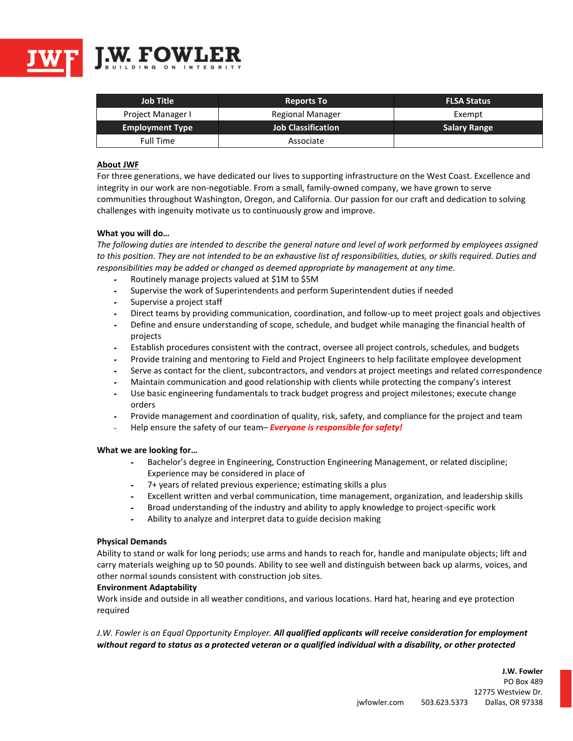

| <b>Job Title</b>       | <b>Reports To</b>         | <b>FLSA Status</b>  |
|------------------------|---------------------------|---------------------|
| Project Manager I      | Regional Manager          | Exempt              |
| <b>Employment Type</b> | <b>Job Classification</b> | <b>Salary Range</b> |
| Full Time              | Associate                 |                     |

# **About JWF**

For three generations, we have dedicated our lives to supporting infrastructure on the West Coast. Excellence and integrity in our work are non-negotiable. From a small, family-owned company, we have grown to serve communities throughout Washington, Oregon, and California. Our passion for our craft and dedication to solving challenges with ingenuity motivate us to continuously grow and improve.

## **What you will do…**

*The following duties are intended to describe the general nature and level of work performed by employees assigned to this position. They are not intended to be an exhaustive list of responsibilities, duties, or skills required. Duties and responsibilities may be added or changed as deemed appropriate by management at any time.*

- **<sup>ـ</sup>** Routinely manage projects valued at \$1M to \$5M
- **<sup>ـ</sup>** Supervise the work of Superintendents and perform Superintendent duties if needed
- **<sup>ـ</sup>** Supervise a project staff
- **<sup>ـ</sup>** Direct teams by providing communication, coordination, and follow-up to meet project goals and objectives
- **<sup>ـ</sup>** Define and ensure understanding of scope, schedule, and budget while managing the financial health of projects
- **<sup>ـ</sup>** Establish procedures consistent with the contract, oversee all project controls, schedules, and budgets
- **<sup>ـ</sup>** Provide training and mentoring to Field and Project Engineers to help facilitate employee development
- **<sup>ـ</sup>** Serve as contact for the client, subcontractors, and vendors at project meetings and related correspondence
- **<sup>ـ</sup>** Maintain communication and good relationship with clients while protecting the company's interest
- **<sup>ـ</sup>** Use basic engineering fundamentals to track budget progress and project milestones; execute change orders
- **<sup>ـ</sup>** Provide management and coordination of quality, risk, safety, and compliance for the project and team
- Help ensure the safety of our team– *Everyone is responsible for safety!*

## **What we are looking for…**

- **<sup>ـ</sup>** Bachelor's degree in Engineering, Construction Engineering Management, or related discipline; Experience may be considered in place of
- **<sup>ـ</sup>** 7+ years of related previous experience; estimating skills a plus
- **<sup>ـ</sup>** Excellent written and verbal communication, time management, organization, and leadership skills
- **<sup>ـ</sup>** Broad understanding of the industry and ability to apply knowledge to project-specific work
- **<sup>ـ</sup>** Ability to analyze and interpret data to guide decision making

## **Physical Demands**

Ability to stand or walk for long periods; use arms and hands to reach for, handle and manipulate objects; lift and carry materials weighing up to 50 pounds. Ability to see well and distinguish between back up alarms, voices, and other normal sounds consistent with construction job sites.

## **Environment Adaptability**

Work inside and outside in all weather conditions, and various locations. Hard hat, hearing and eye protection required

*J.W. Fowler is an Equal Opportunity Employer. All qualified applicants will receive consideration for employment* without regard to status as a protected veteran or a qualified individual with a disability, or other protected